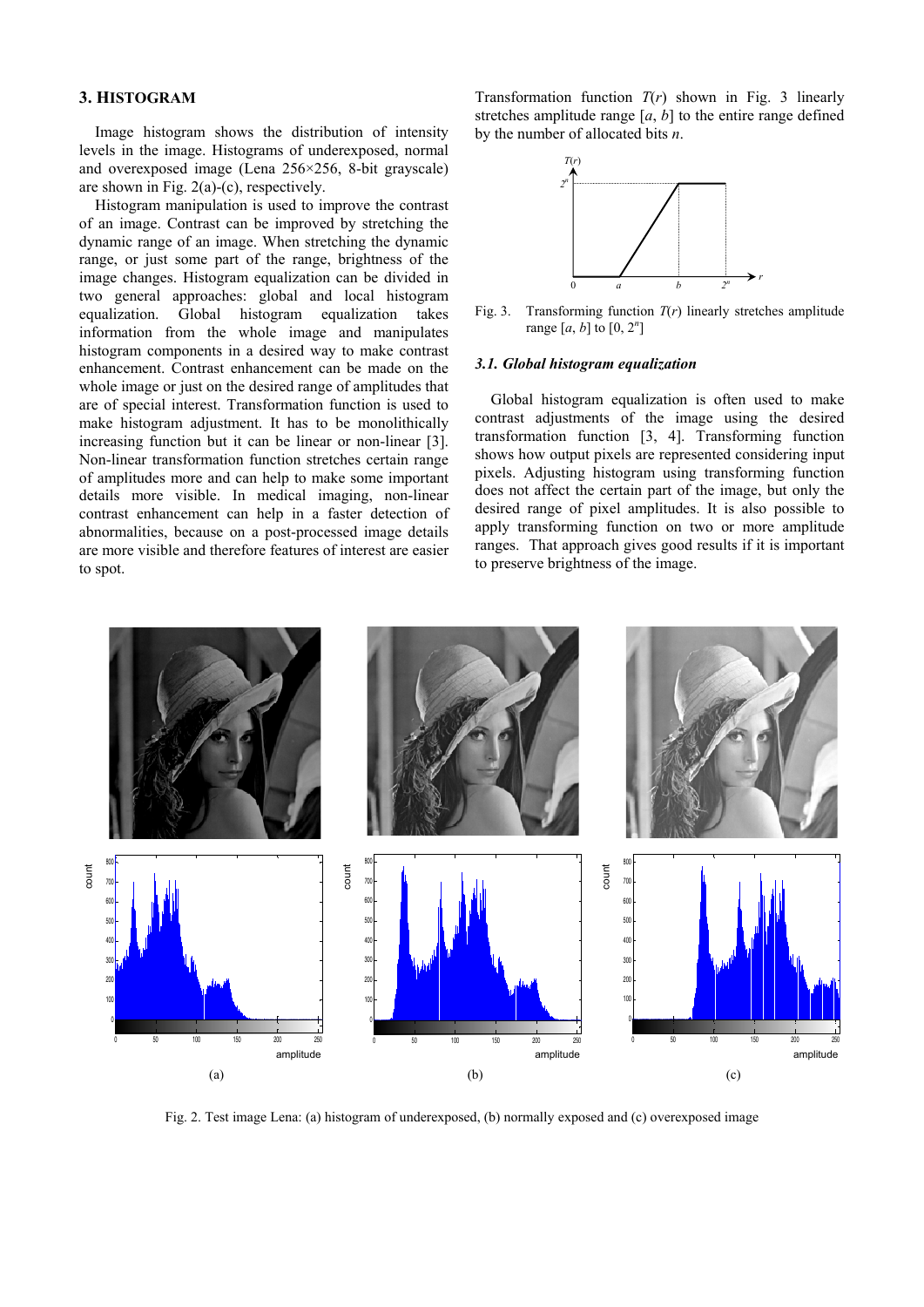# **Efficient Presentation of DICOM Mammography Images using Matlab**

Mario Mustra, Mislav Grgic and Kresimir Delac University in Zagreb, Faculty of Electrical Engineering and Computing Department of Wireless Communication Unska 3/XII, HR-10000 Zagreb, Croatia Phone: + 385 1 6129 851, Fax: + 385 1 6129 568, E-mail: mario.mustra@fer.hr

**Keywords:** DICOM, Mammography, Histogram, Medical Imaging

**Abstract –** DICOM has become a standard for medical imaging. Its purpose is to standardize digital medical imaging and data for easy access and sharing. There are many commercial viewers that support DICOM image format and can read metadata, but image displaying is not always optimal. Since mammography images are mostly 12-bit grayscale images, image viewer has to be adapted for correct displaying when different number of bits has to be allocated. Another problem occurs when only a small portion of amplitudes is of interest to display. In this paper a method for efficient presentation of DICOM mammography images in Matlab is introduced. Algorithm that is developed does automatic contrast and brightness adjustments, regardless of bit dept of an image, number of amplitudes higher than zero and the number of allocated bits.

# **1. INTRODUCTION**

As digital technologies are incorporated in every aspect of our lives, they are also the key part of medical diagnosis. DICOM (*Digital Imaging and Communications in Medicine*) standard was developed to make sharing of medical information safe and above all standardized. Having a standard in digital medical imaging improves flexibility and speed in detection and getting a fast diagnose. DICOM version 3.0 is used today and has become a standard in medical imaging and file exchange [1]. DICOM supports grayscale and color images of different formats. Besides image data, DICOM includes image-related data that are stored in the header of an image file. Some of the information included in the header is image resolution, image type, number of stored bits, patient's name, etc. Software for viewing mammography images in most cases is provided by the manufacturer of medical imaging hardware. Other programs for image viewing have difficulties with correct displaying of images, mostly because the number of amplitudes that are different from zero is not the same as the bit depth of an image. Because of that they have to do automatic adjusting of the displayed amplitude range [2]. In this paper histogram manipulation for a better DICOM image displaying in Matlab is described. The method described in this paper automatically calculates the amplitude range of a mammography image and uses Matlab's function which linearly stretches that range to achieve good image displaying. Sub-range image displaying which makes presentation of mammography images more efficient, as another extension of this approach, has been added [5].

The paper is organized as follows: in Section 2 image representation and bit allocation in Matlab is explained. In Section 3 global and local histogram equalization is described. In Section 4 the method for efficient DICOM mammography image displaying in Matlab is introduced and the results are shown. Section 5 draws the conclusion.

## **2. IMAGE REPRESENTATION IN MATLAB**

Matlab can use different numeric formats to represent image matrices. It uses 16 bits (65536 levels) to display a grayscale image that has bit depth between 8 and 16 bits. Since mammography images that are considered in this paper are 12-bit grayscale images, it is necessary to make certain adjustments to display those images correctly. To read a 12-bit grayscale image from a file Matlab allocates a 16-bit  $m \times n$  matrix, where *m* and *n* are defined by resolution of the image. 12-bit image (4096 levels of gray) displayed with 16 allocated bits appears dark. This happens because the maximal possible amplitude of 12-bit image for each pixel is 4095 and the maximal amplitude that can be displayed is 65535 (16 allocated bits). Therefore, 4096 levels need to be linearly scaled to 65536 levels to achieve good image displaying. Displayed image will then be a 16-bit image but with only 4096 discrete amplitudes. Fig. 1(a) shows an 8-bit image displayed on a 10-bit system and Fig. 1(b) shows the same image displayed on an 8-bit system.



Fig. 1. Test image Lena: (a) an 8-bit image displayed on a system that allocates 10 bits per pixel, (b) the same image displayed on a system that allocates 8 bits per pixel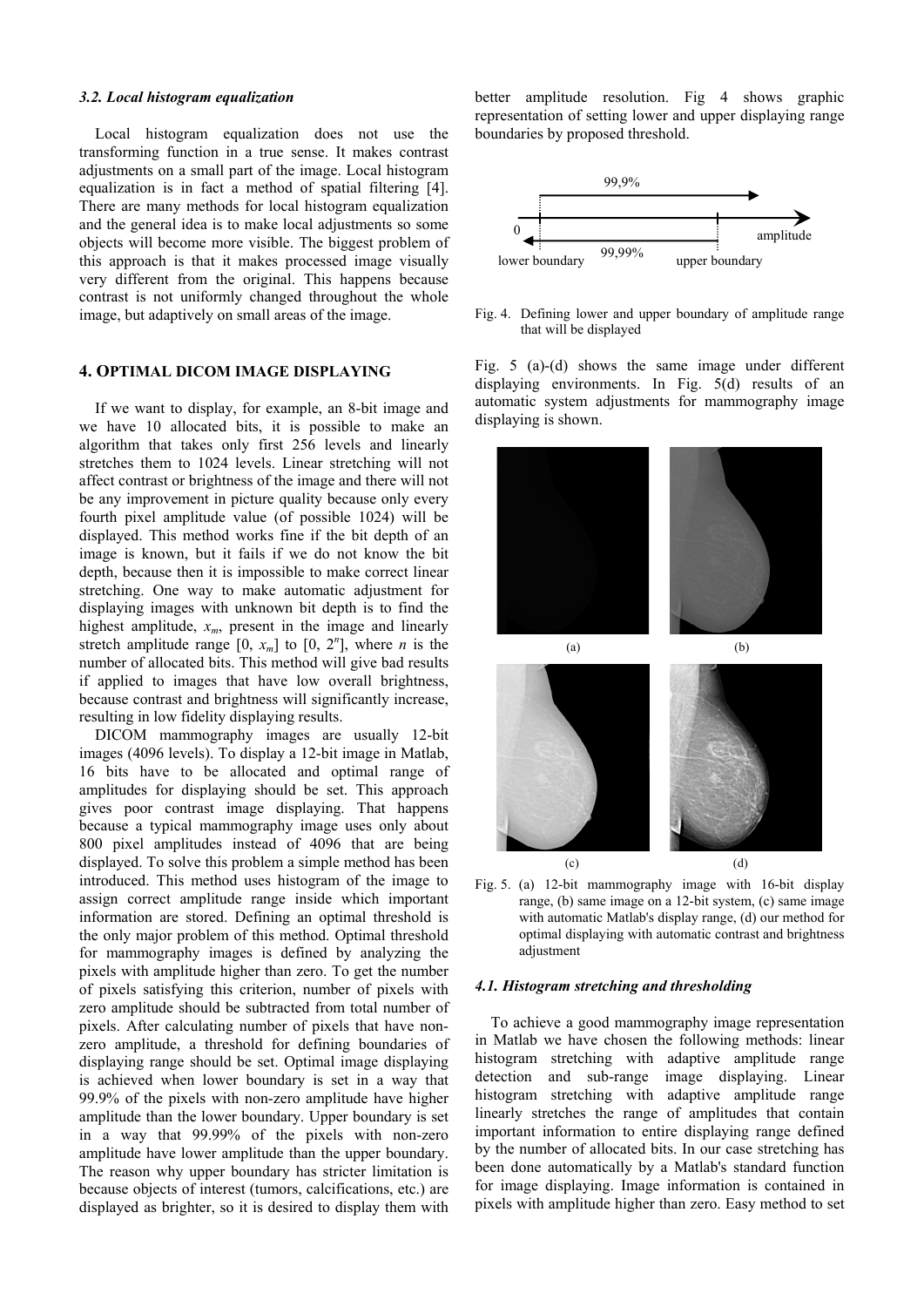### **3. HISTOGRAM**

Image histogram shows the distribution of intensity levels in the image. Histograms of underexposed, normal and overexposed image (Lena 256×256, 8-bit grayscale) are shown in Fig. 2(a)-(c), respectively.

Histogram manipulation is used to improve the contrast of an image. Contrast can be improved by stretching the dynamic range of an image. When stretching the dynamic range, or just some part of the range, brightness of the image changes. Histogram equalization can be divided in two general approaches: global and local histogram equalization. Global histogram equalization takes information from the whole image and manipulates histogram components in a desired way to make contrast enhancement. Contrast enhancement can be made on the whole image or just on the desired range of amplitudes that are of special interest. Transformation function is used to make histogram adjustment. It has to be monolithically increasing function but it can be linear or non-linear [3]. Non-linear transformation function stretches certain range of amplitudes more and can help to make some important details more visible. In medical imaging, non-linear contrast enhancement can help in a faster detection of abnormalities, because on a post-processed image details are more visible and therefore features of interest are easier to spot.

Transformation function  $T(r)$  shown in Fig. 3 linearly stretches amplitude range  $[a, b]$  to the entire range defined by the number of allocated bits *n*.



Fig. 3. Transforming function *T*(*r*) linearly stretches amplitude range  $[a, b]$  to  $[0, 2^n]$ 

#### *3.1. Global histogram equalization*

Global histogram equalization is often used to make contrast adjustments of the image using the desired transformation function [3, 4]. Transforming function shows how output pixels are represented considering input pixels. Adjusting histogram using transforming function does not affect the certain part of the image, but only the desired range of pixel amplitudes. It is also possible to apply transforming function on two or more amplitude ranges. That approach gives good results if it is important to preserve brightness of the image.



Fig. 2. Test image Lena: (a) histogram of underexposed, (b) normally exposed and (c) overexposed image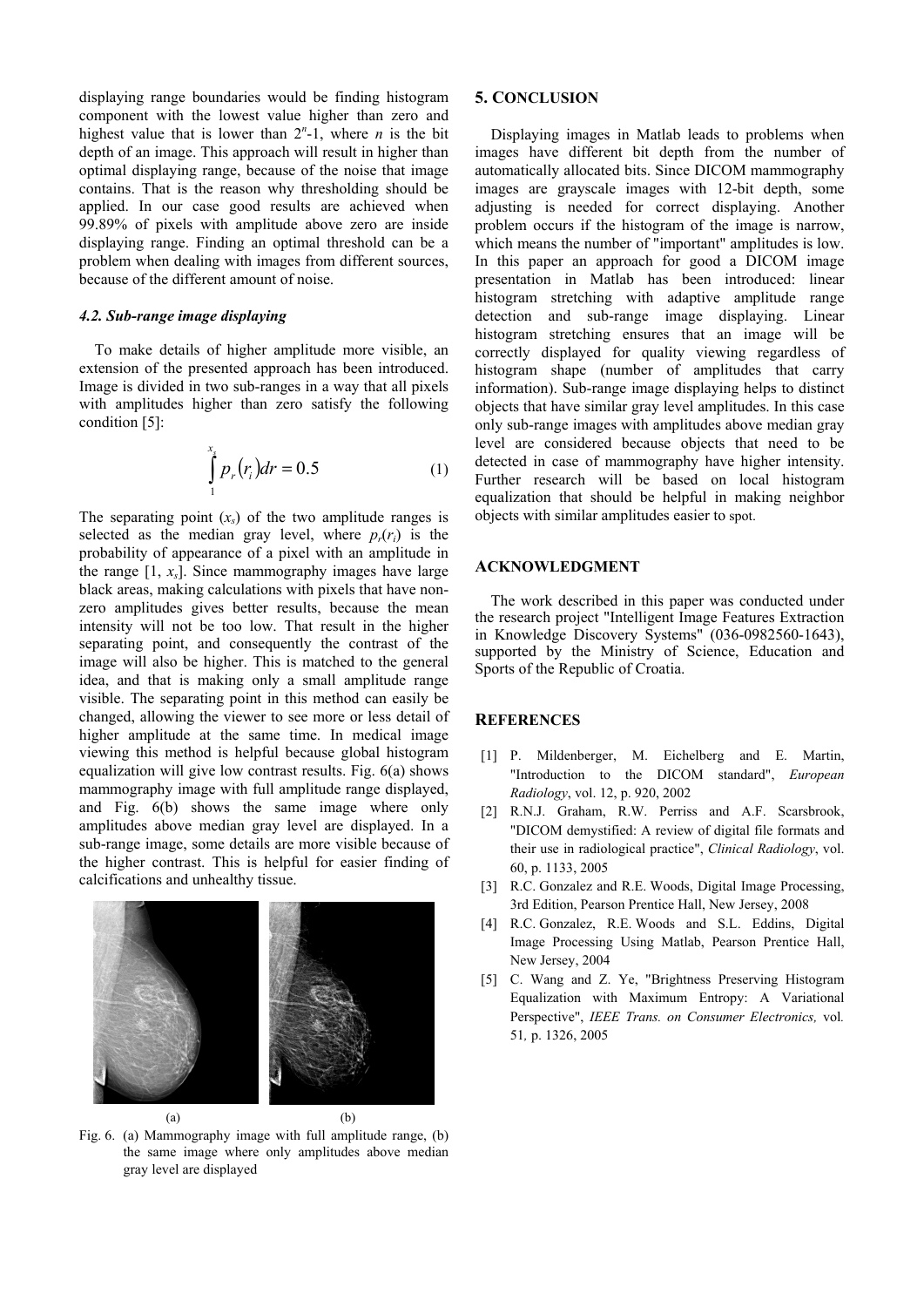#### *3.2. Local histogram equalization*

Local histogram equalization does not use the transforming function in a true sense. It makes contrast adjustments on a small part of the image. Local histogram equalization is in fact a method of spatial filtering [4]. There are many methods for local histogram equalization and the general idea is to make local adjustments so some objects will become more visible. The biggest problem of this approach is that it makes processed image visually very different from the original. This happens because contrast is not uniformly changed throughout the whole image, but adaptively on small areas of the image.

## **4. OPTIMAL DICOM IMAGE DISPLAYING**

If we want to display, for example, an 8-bit image and we have 10 allocated bits, it is possible to make an algorithm that takes only first 256 levels and linearly stretches them to 1024 levels. Linear stretching will not affect contrast or brightness of the image and there will not be any improvement in picture quality because only every fourth pixel amplitude value (of possible 1024) will be displayed. This method works fine if the bit depth of an image is known, but it fails if we do not know the bit depth, because then it is impossible to make correct linear stretching. One way to make automatic adjustment for displaying images with unknown bit depth is to find the highest amplitude,  $x_m$ , present in the image and linearly stretch amplitude range  $[0, x_m]$  to  $[0, 2^n]$ , where *n* is the number of allocated bits. This method will give bad results if applied to images that have low overall brightness, because contrast and brightness will significantly increase, resulting in low fidelity displaying results.

DICOM mammography images are usually 12-bit images (4096 levels). To display a 12-bit image in Matlab, 16 bits have to be allocated and optimal range of amplitudes for displaying should be set. This approach gives poor contrast image displaying. That happens because a typical mammography image uses only about 800 pixel amplitudes instead of 4096 that are being displayed. To solve this problem a simple method has been introduced. This method uses histogram of the image to assign correct amplitude range inside which important information are stored. Defining an optimal threshold is the only major problem of this method. Optimal threshold for mammography images is defined by analyzing the pixels with amplitude higher than zero. To get the number of pixels satisfying this criterion, number of pixels with zero amplitude should be subtracted from total number of pixels. After calculating number of pixels that have nonzero amplitude, a threshold for defining boundaries of displaying range should be set. Optimal image displaying is achieved when lower boundary is set in a way that 99.9% of the pixels with non-zero amplitude have higher amplitude than the lower boundary. Upper boundary is set in a way that 99.99% of the pixels with non-zero amplitude have lower amplitude than the upper boundary. The reason why upper boundary has stricter limitation is because objects of interest (tumors, calcifications, etc.) are displayed as brighter, so it is desired to display them with

better amplitude resolution. Fig 4 shows graphic representation of setting lower and upper displaying range boundaries by proposed threshold.



Fig. 4. Defining lower and upper boundary of amplitude range that will be displayed

Fig. 5 (a)-(d) shows the same image under different displaying environments. In Fig. 5(d) results of an automatic system adjustments for mammography image displaying is shown.



Fig. 5. (a) 12-bit mammography image with 16-bit display range, (b) same image on a 12-bit system, (c) same image with automatic Matlab's display range, (d) our method for optimal displaying with automatic contrast and brightness adjustment

#### *4.1. Histogram stretching and thresholding*

To achieve a good mammography image representation in Matlab we have chosen the following methods: linear histogram stretching with adaptive amplitude range detection and sub-range image displaying. Linear histogram stretching with adaptive amplitude range linearly stretches the range of amplitudes that contain important information to entire displaying range defined by the number of allocated bits. In our case stretching has been done automatically by a Matlab's standard function for image displaying. Image information is contained in pixels with amplitude higher than zero. Easy method to set